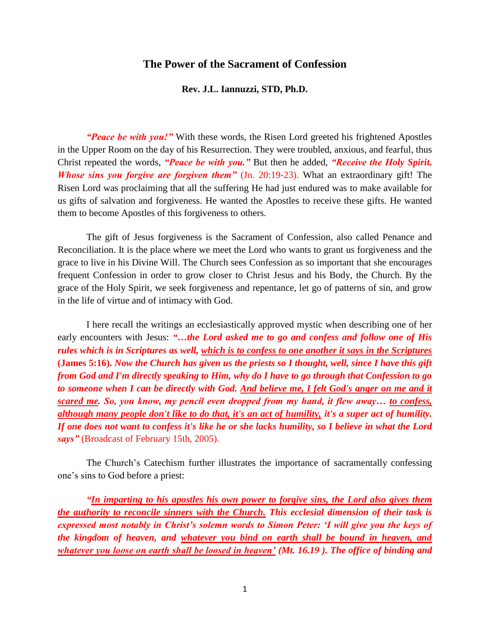## **The Power of the Sacrament of Confession**

## **Rev. J.L. Iannuzzi, STD, Ph.D.**

*"Peace be with you!"* With these words, the Risen Lord greeted his frightened Apostles in the Upper Room on the day of his Resurrection. They were troubled, anxious, and fearful, thus Christ repeated the words, *"Peace be with you."* But then he added, *"Receive the Holy Spirit. Whose sins you forgive are forgiven them*" (Jn. 20:19-23). What an extraordinary gift! The Risen Lord was proclaiming that all the suffering He had just endured was to make available for us gifts of salvation and forgiveness. He wanted the Apostles to receive these gifts. He wanted them to become Apostles of this forgiveness to others.

The gift of Jesus forgiveness is the Sacrament of Confession, also called Penance and Reconciliation. It is the place where we meet the Lord who wants to grant us forgiveness and the grace to live in his Divine Will. The Church sees Confession as so important that she encourages frequent Confession in order to grow closer to Christ Jesus and his Body, the Church. By the grace of the Holy Spirit, we seek forgiveness and repentance, let go of patterns of sin, and grow in the life of virtue and of intimacy with God.

I here recall the writings an ecclesiastically approved mystic when describing one of her early encounters with Jesus: "...the Lord asked me to go and confess and follow one of His *rules which is in Scriptures as well, which is to confess to one another it says in the Scriptures* **(James 5:16).** *Now the Church has given us the priests so I thought, well, since I have this gift from God and I'm directly speaking to Him, why do I have to go through that Confession to go to someone when I can be directly with God. And believe me, I felt God's anger on me and it scared me. So, you know, my pencil even dropped from my hand, it flew away… to confess, although many people don't like to do that, it's an act of humility, it's a super act of humility. If one does not want to confess it's like he or she lacks humility, so I believe in what the Lord says"* (Broadcast of February 15th, 2005).

The Church's Catechism further illustrates the importance of sacramentally confessing one's sins to God before a priest:

*"In imparting to his apostles his own power to forgive sins, the Lord also gives them the authority to reconcile sinners with the Church. This ecclesial dimension of their task is expressed most notably in Christ's solemn words to Simon Peter: 'I will give you the keys of the kingdom of heaven, and whatever you bind on earth shall be bound in heaven, and whatever you loose on earth shall be loosed in heaven' (Mt. 16.19 ). The office of binding and*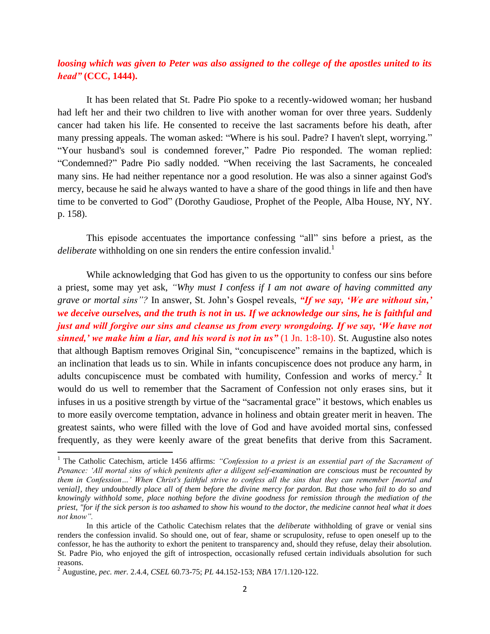## *loosing which was given to Peter was also assigned to the college of the apostles united to its head"* **(CCC, 1444).**

It has been related that St. Padre Pio spoke to a recently-widowed woman; her husband had left her and their two children to live with another woman for over three years. Suddenly cancer had taken his life. He consented to receive the last sacraments before his death, after many pressing appeals. The woman asked: "Where is his soul. Padre? I haven't slept, worrying." "Your husband's soul is condemned forever," Padre Pio responded. The woman replied: "Condemned?" Padre Pio sadly nodded. "When receiving the last Sacraments, he concealed many sins. He had neither repentance nor a good resolution. He was also a sinner against God's mercy, because he said he always wanted to have a share of the good things in life and then have time to be converted to God" (Dorothy Gaudiose, Prophet of the People, Alba House, NY, NY. p. 158).

This episode accentuates the importance confessing "all" sins before a priest, as the deliberate withholding on one sin renders the entire confession invalid.<sup>1</sup>

While acknowledging that God has given to us the opportunity to confess our sins before a priest, some may yet ask, *"Why must I confess if I am not aware of having committed any grave or mortal sins"?* In answer, St. John's Gospel reveals, *"If we say, 'We are without sin,' we deceive ourselves, and the truth is not in us. If we acknowledge our sins, he is faithful and just and will forgive our sins and cleanse us from every wrongdoing. If we say, 'We have not sinned,' we make him a liar, and his word is not in us"* (1 Jn. 1:8-10). St. Augustine also notes that although Baptism removes Original Sin, "concupiscence" remains in the baptized, which is an inclination that leads us to sin. While in infants concupiscence does not produce any harm, in adults concupiscence must be combated with humility, Confession and works of mercy. $2$  It would do us well to remember that the Sacrament of Confession not only erases sins, but it infuses in us a positive strength by virtue of the "sacramental grace" it bestows, which enables us to more easily overcome temptation, advance in holiness and obtain greater merit in heaven. The greatest saints, who were filled with the love of God and have avoided mortal sins, confessed frequently, as they were keenly aware of the great benefits that derive from this Sacrament.

 $\overline{\phantom{a}}$ 

<sup>&</sup>lt;sup>1</sup> The Catholic Catechism, article 1456 affirms: "Confession to a priest is an essential part of the Sacrament of *Penance: 'All mortal sins of which penitents after a diligent self-examination are conscious must be recounted by them in Confession…' When Christ's faithful strive to confess all the sins that they can remember [mortal and venial], they undoubtedly place all of them before the divine mercy for pardon. But those who fail to do so and knowingly withhold some, place nothing before the divine goodness for remission through the mediation of the priest, "for if the sick person is too ashamed to show his wound to the doctor, the medicine cannot heal what it does not know".* 

In this article of the Catholic Catechism relates that the *deliberate* withholding of grave or venial sins renders the confession invalid. So should one, out of fear, shame or scrupulosity, refuse to open oneself up to the confessor, he has the authority to exhort the penitent to transparency and, should they refuse, delay their absolution. St. Padre Pio, who enjoyed the gift of introspection, occasionally refused certain individuals absolution for such reasons.

<sup>2</sup> Augustine, *pec. mer.* 2.4.4*, CSEL* 60.73-75; *PL* 44.152-153; *NBA* 17/1.120-122.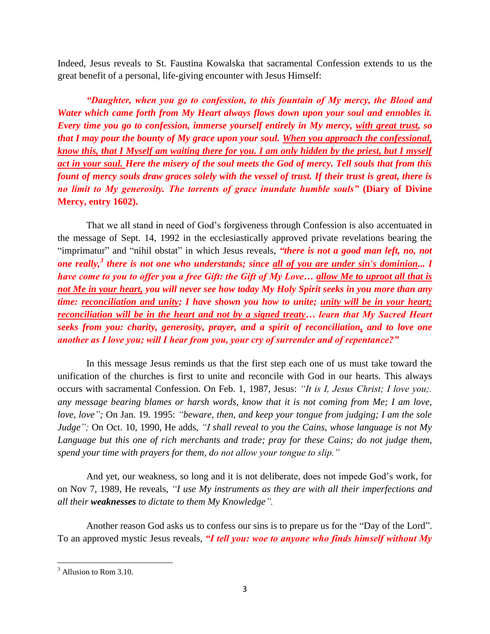Indeed, Jesus reveals to St. Faustina Kowalska that sacramental Confession extends to us the great benefit of a personal, life-giving encounter with Jesus Himself:

*"Daughter, when you go to confession, to this fountain of My mercy, the Blood and Water which came forth from My Heart always flows down upon your soul and ennobles it. Every time you go to confession, immerse yourself entirely in My mercy, with great trust, so that I may pour the bounty of My grace upon your soul. When you approach the confessional, know this, that I Myself am waiting there for you. I am only hidden by the priest, but I myself act in your soul. Here the misery of the soul meets the God of mercy. Tell souls that from this fount of mercy souls draw graces solely with the vessel of trust. If their trust is great, there is no limit to My generosity. The torrents of grace inundate humble souls"* **(Diary of Divine Mercy, entry 1602).**

That we all stand in need of God's forgiveness through Confession is also accentuated in the message of Sept. 14, 1992 in the ecclesiastically approved private revelations bearing the "imprimatur" and "nihil obstat" in which Jesus reveals, *"there is not a good man left, no, not one really,<sup>3</sup> there is not one who understands; since all of you are under sin's dominion... I have come to you to offer you a free Gift: the Gift of My Love… allow Me to uproot all that is not Me in your heart, you will never see how today My Holy Spirit seeks in you more than any time: reconciliation and unity; I have shown you how to unite; unity will be in your heart; reconciliation will be in the heart and not by a signed treaty… learn that My Sacred Heart seeks from you: charity, generosity, prayer, and a spirit of reconciliation, and to love one another as I love you; will I hear from you, your cry of surrender and of repentance?"*

In this message Jesus reminds us that the first step each one of us must take toward the unification of the churches is first to unite and reconcile with God in our hearts. This always occurs with sacramental Confession. On Feb. 1, 1987, Jesus: *"It is I, Jesus Christ; I love you;. any message bearing blames or harsh words, know that it is not coming from Me; I am love, love, love";* On Jan. 19. 1995: *"beware, then, and keep your tongue from judging; I am the sole Judge";* On Oct. 10, 1990, He adds, *"I shall reveal to you the Cains, whose language is not My*  Language but this one of rich merchants and trade; pray for these Cains; do not judge them, *spend your time with prayers for them, do not allow your tongue to slip."*

And yet, our weakness, so long and it is not deliberate, does not impede God's work, for on Nov 7, 1989, He reveals, *"I use My instruments as they are with all their imperfections and all their weaknesses to dictate to them My Knowledge".*

Another reason God asks us to confess our sins is to prepare us for the "Day of the Lord". To an approved mystic Jesus reveals, *"I tell you: woe to anyone who finds himself without My* 

 $\overline{\phantom{a}}$ <sup>3</sup> Allusion to Rom 3.10.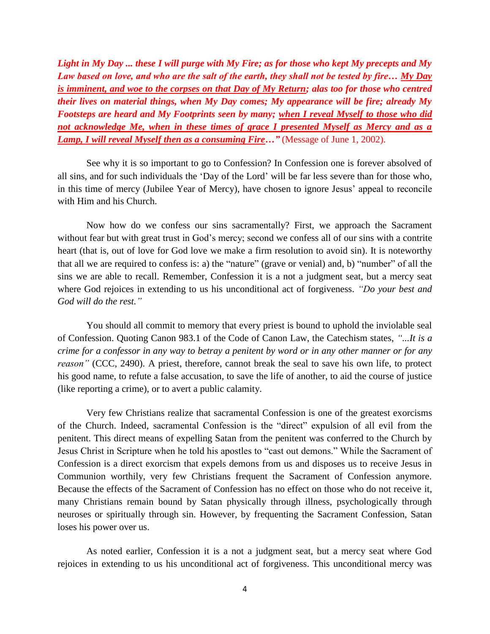*Light in My Day ... these I will purge with My Fire; as for those who kept My precepts and My Law based on love, and who are the salt of the earth, they shall not be tested by fire… My Day is imminent, and woe to the corpses on that Day of My Return; alas too for those who centred their lives on material things, when My Day comes; My appearance will be fire; already My Footsteps are heard and My Footprints seen by many; when I reveal Myself to those who did not acknowledge Me, when in these times of grace I presented Myself as Mercy and as a Lamp, I will reveal Myself then as a consuming Fire…"* (Message of June 1, 2002).

See why it is so important to go to Confession? In Confession one is forever absolved of all sins, and for such individuals the 'Day of the Lord' will be far less severe than for those who, in this time of mercy (Jubilee Year of Mercy), have chosen to ignore Jesus' appeal to reconcile with Him and his Church.

Now how do we confess our sins sacramentally? First, we approach the Sacrament without fear but with great trust in God's mercy; second we confess all of our sins with a contrite heart (that is, out of love for God love we make a firm resolution to avoid sin). It is noteworthy that all we are required to confess is: a) the "nature" (grave or venial) and, b) "number" of all the sins we are able to recall. Remember, Confession it is a not a judgment seat, but a mercy seat where God rejoices in extending to us his unconditional act of forgiveness. *"Do your best and God will do the rest."*

You should all commit to memory that every priest is bound to uphold the inviolable seal of Confession. Quoting Canon 983.1 of the Code of Canon Law, the Catechism states, *"...It is a crime for a confessor in any way to betray a penitent by word or in any other manner or for any reason"* (CCC, 2490). A priest, therefore, cannot break the seal to save his own life, to protect his good name, to refute a false accusation, to save the life of another, to aid the course of justice (like reporting a crime), or to avert a public calamity.

Very few Christians realize that sacramental Confession is one of the greatest exorcisms of the Church. Indeed, sacramental Confession is the "direct" expulsion of all evil from the penitent. This direct means of expelling Satan from the penitent was conferred to the Church by Jesus Christ in Scripture when he told his apostles to "cast out demons." While the Sacrament of Confession is a direct exorcism that expels demons from us and disposes us to receive Jesus in Communion worthily, very few Christians frequent the Sacrament of Confession anymore. Because the effects of the Sacrament of Confession has no effect on those who do not receive it, many Christians remain bound by Satan physically through illness, psychologically through neuroses or spiritually through sin. However, by frequenting the Sacrament Confession, Satan loses his power over us.

As noted earlier, Confession it is a not a judgment seat, but a mercy seat where God rejoices in extending to us his unconditional act of forgiveness. This unconditional mercy was